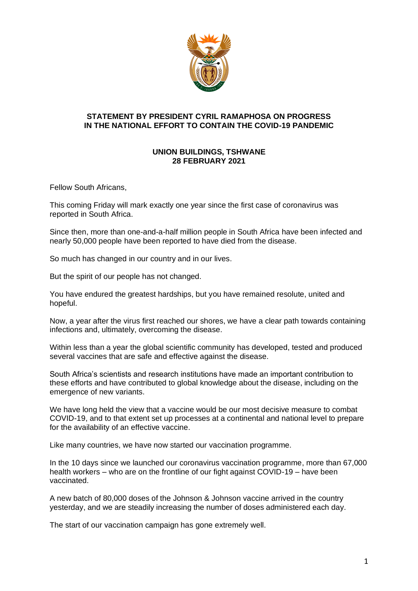

## **STATEMENT BY PRESIDENT CYRIL RAMAPHOSA ON PROGRESS IN THE NATIONAL EFFORT TO CONTAIN THE COVID-19 PANDEMIC**

## **UNION BUILDINGS, TSHWANE 28 FEBRUARY 2021**

Fellow South Africans,

This coming Friday will mark exactly one year since the first case of coronavirus was reported in South Africa.

Since then, more than one-and-a-half million people in South Africa have been infected and nearly 50,000 people have been reported to have died from the disease.

So much has changed in our country and in our lives.

But the spirit of our people has not changed.

You have endured the greatest hardships, but you have remained resolute, united and hopeful.

Now, a year after the virus first reached our shores, we have a clear path towards containing infections and, ultimately, overcoming the disease.

Within less than a year the global scientific community has developed, tested and produced several vaccines that are safe and effective against the disease.

South Africa's scientists and research institutions have made an important contribution to these efforts and have contributed to global knowledge about the disease, including on the emergence of new variants.

We have long held the view that a vaccine would be our most decisive measure to combat COVID-19, and to that extent set up processes at a continental and national level to prepare for the availability of an effective vaccine.

Like many countries, we have now started our vaccination programme.

In the 10 days since we launched our coronavirus vaccination programme, more than 67,000 health workers – who are on the frontline of our fight against COVID-19 – have been vaccinated.

A new batch of 80,000 doses of the Johnson & Johnson vaccine arrived in the country yesterday, and we are steadily increasing the number of doses administered each day.

The start of our vaccination campaign has gone extremely well.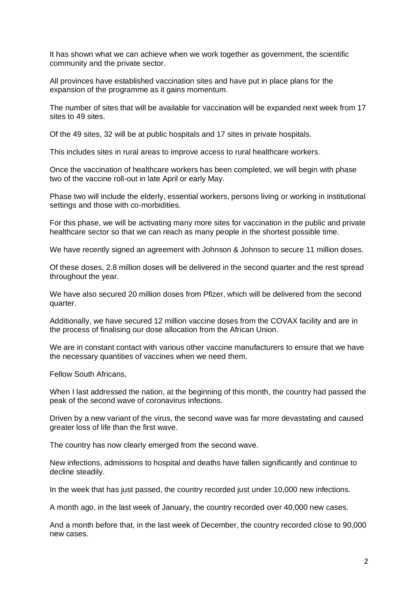It has shown what we can achieve when we work together as government, the scientific community and the private sector.

All provinces have established vaccination sites and have put in place plans for the expansion of the programme as it gains momentum.

The number of sites that will be available for vaccination will be expanded next week from 17 sites to 49 sites.

Of the 49 sites, 32 will be at public hospitals and 17 sites in private hospitals.

This includes sites in rural areas to improve access to rural healthcare workers.

Once the vaccination of healthcare workers has been completed, we will begin with phase two of the vaccine roll-out in late April or early May.

Phase two will include the elderly, essential workers, persons living or working in institutional settings and those with co-morbidities.

For this phase, we will be activating many more sites for vaccination in the public and private healthcare sector so that we can reach as many people in the shortest possible time.

We have recently signed an agreement with Johnson & Johnson to secure 11 million doses.

Of these doses, 2.8 million doses will be delivered in the second quarter and the rest spread throughout the year.

We have also secured 20 million doses from Pfizer, which will be delivered from the second quarter.

Additionally, we have secured 12 million vaccine doses from the COVAX facility and are in the process of finalising our dose allocation from the African Union.

We are in constant contact with various other vaccine manufacturers to ensure that we have the necessary quantities of vaccines when we need them.

Fellow South Africans,

When I last addressed the nation, at the beginning of this month, the country had passed the peak of the second wave of coronavirus infections.

Driven by a new variant of the virus, the second wave was far more devastating and caused greater loss of life than the first wave.

The country has now clearly emerged from the second wave.

New infections, admissions to hospital and deaths have fallen significantly and continue to decline steadily.

In the week that has just passed, the country recorded just under 10,000 new infections.

A month ago, in the last week of January, the country recorded over 40,000 new cases.

And a month before that, in the last week of December, the country recorded close to 90,000 new cases.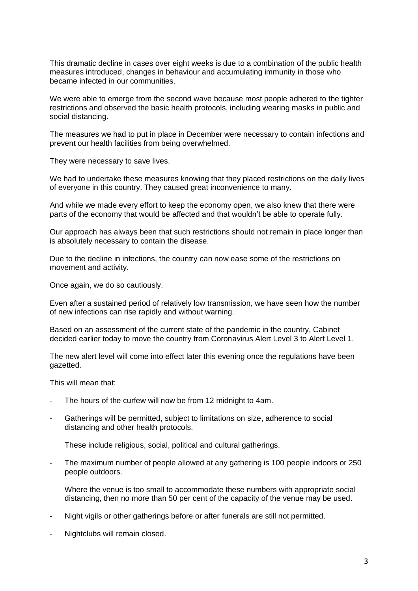This dramatic decline in cases over eight weeks is due to a combination of the public health measures introduced, changes in behaviour and accumulating immunity in those who became infected in our communities.

We were able to emerge from the second wave because most people adhered to the tighter restrictions and observed the basic health protocols, including wearing masks in public and social distancing.

The measures we had to put in place in December were necessary to contain infections and prevent our health facilities from being overwhelmed.

They were necessary to save lives.

We had to undertake these measures knowing that they placed restrictions on the daily lives of everyone in this country. They caused great inconvenience to many.

And while we made every effort to keep the economy open, we also knew that there were parts of the economy that would be affected and that wouldn't be able to operate fully.

Our approach has always been that such restrictions should not remain in place longer than is absolutely necessary to contain the disease.

Due to the decline in infections, the country can now ease some of the restrictions on movement and activity.

Once again, we do so cautiously.

Even after a sustained period of relatively low transmission, we have seen how the number of new infections can rise rapidly and without warning.

Based on an assessment of the current state of the pandemic in the country, Cabinet decided earlier today to move the country from Coronavirus Alert Level 3 to Alert Level 1.

The new alert level will come into effect later this evening once the regulations have been gazetted.

This will mean that:

- The hours of the curfew will now be from 12 midnight to 4am.
- Gatherings will be permitted, subject to limitations on size, adherence to social distancing and other health protocols.

These include religious, social, political and cultural gatherings.

The maximum number of people allowed at any gathering is 100 people indoors or 250 people outdoors.

Where the venue is too small to accommodate these numbers with appropriate social distancing, then no more than 50 per cent of the capacity of the venue may be used.

- Night vigils or other gatherings before or after funerals are still not permitted.
- Nightclubs will remain closed.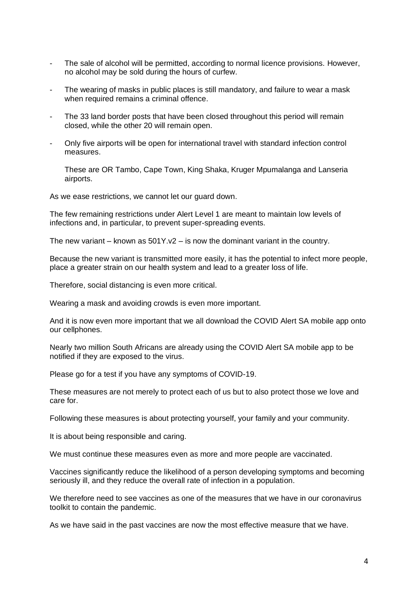- The sale of alcohol will be permitted, according to normal licence provisions. However, no alcohol may be sold during the hours of curfew.
- The wearing of masks in public places is still mandatory, and failure to wear a mask when required remains a criminal offence.
- The 33 land border posts that have been closed throughout this period will remain closed, while the other 20 will remain open.
- Only five airports will be open for international travel with standard infection control measures.

These are OR Tambo, Cape Town, King Shaka, Kruger Mpumalanga and Lanseria airports.

As we ease restrictions, we cannot let our quard down.

The few remaining restrictions under Alert Level 1 are meant to maintain low levels of infections and, in particular, to prevent super-spreading events.

The new variant – known as  $501Y_v2 - i$  is now the dominant variant in the country.

Because the new variant is transmitted more easily, it has the potential to infect more people, place a greater strain on our health system and lead to a greater loss of life.

Therefore, social distancing is even more critical.

Wearing a mask and avoiding crowds is even more important.

And it is now even more important that we all download the COVID Alert SA mobile app onto our cellphones.

Nearly two million South Africans are already using the COVID Alert SA mobile app to be notified if they are exposed to the virus.

Please go for a test if you have any symptoms of COVID-19.

These measures are not merely to protect each of us but to also protect those we love and care for.

Following these measures is about protecting yourself, your family and your community.

It is about being responsible and caring.

We must continue these measures even as more and more people are vaccinated.

Vaccines significantly reduce the likelihood of a person developing symptoms and becoming seriously ill, and they reduce the overall rate of infection in a population.

We therefore need to see vaccines as one of the measures that we have in our coronavirus toolkit to contain the pandemic.

As we have said in the past vaccines are now the most effective measure that we have.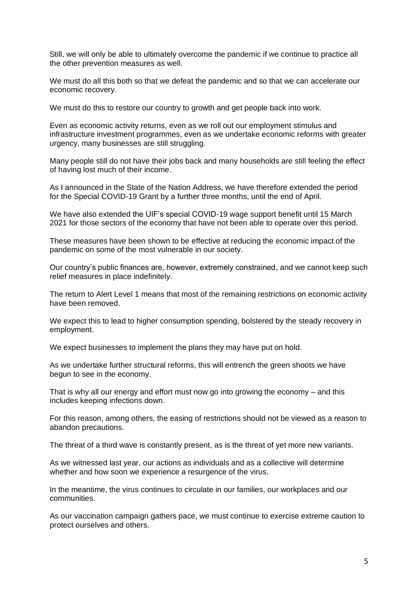Still, we will only be able to ultimately overcome the pandemic if we continue to practice all the other prevention measures as well.

We must do all this both so that we defeat the pandemic and so that we can accelerate our economic recovery.

We must do this to restore our country to growth and get people back into work.

Even as economic activity returns, even as we roll out our employment stimulus and infrastructure investment programmes, even as we undertake economic reforms with greater urgency, many businesses are still struggling.

Many people still do not have their jobs back and many households are still feeling the effect of having lost much of their income.

As I announced in the State of the Nation Address, we have therefore extended the period for the Special COVID-19 Grant by a further three months, until the end of April.

We have also extended the UIF's special COVID-19 wage support benefit until 15 March 2021 for those sectors of the economy that have not been able to operate over this period.

These measures have been shown to be effective at reducing the economic impact of the pandemic on some of the most vulnerable in our society.

Our country's public finances are, however, extremely constrained, and we cannot keep such relief measures in place indefinitely.

The return to Alert Level 1 means that most of the remaining restrictions on economic activity have been removed.

We expect this to lead to higher consumption spending, bolstered by the steady recovery in employment.

We expect businesses to implement the plans they may have put on hold.

As we undertake further structural reforms, this will entrench the green shoots we have begun to see in the economy.

That is why all our energy and effort must now go into growing the economy – and this includes keeping infections down.

For this reason, among others, the easing of restrictions should not be viewed as a reason to abandon precautions.

The threat of a third wave is constantly present, as is the threat of yet more new variants.

As we witnessed last year, our actions as individuals and as a collective will determine whether and how soon we experience a resurgence of the virus.

In the meantime, the virus continues to circulate in our families, our workplaces and our communities.

As our vaccination campaign gathers pace, we must continue to exercise extreme caution to protect ourselves and others.